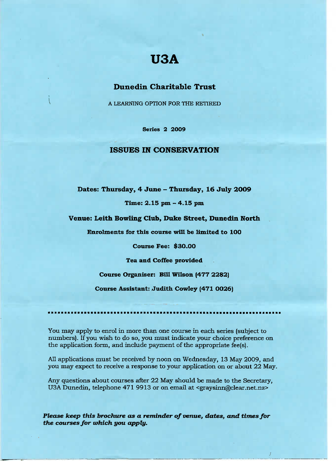# **U3A**

# **Dunedin Charitable Trust**

A LEARNING OPTION FOR THE RETIRED

**Series 2 2009**

## ISSUES IN **CONSERVATION**

## **Dates: Thursday, 4 June - Thursday, 16 July 2009**

#### Time: **2.15** pm - 4.15 pm

#### **Venue: Leith Bowling Club, Duke Street, Dunedin North**

**Enrolments for this course will be limited to 100**

**Course Fee: \$30.00**

**Tea and Coffee provided**

**Course Organiser: Bill Wilson (477 2282)**

**Course Assistant: Judith Cowley (471 0026)**

i ••••••i

You may apply to enrol in more than one course in each series (subject to numbers). If you wish to do so, you must indicate your choice preference on the application form, and include payment of the appropriate fee(s).

All applications must be received by noon on Wednesday, 13 May 2009, and you may expect to receive a response to your application on or about 22 May.

Any questions about courses after 22 May should be made to the Secretary, USA Dunedin, telephone 471 9913 or on email at <graysinn@clear.net.nz>

*Please keep this brochure as a reminder of venue, dates, and times for the courses for which you apply.*